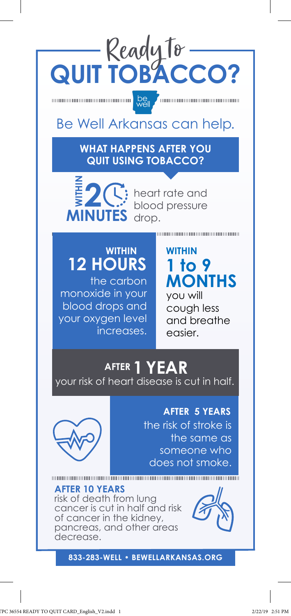

 $\begin{tabular}{|c|c|c|c|c|} \hline \hline \multicolumn{1}{|c|}{\text{min}} & \multicolumn{1}{|c|}{\text{sum}} & \multicolumn{1}{|c|}{\text{log}} \\ \hline \multicolumn{1}{|c|}{\text{min}} & \multicolumn{1}{|c|}{\text{min}} & \multicolumn{1}{|c|}{\text{min}} & \multicolumn{1}{|c|}{\text{log}} \\ \hline \multicolumn{1}{|c|}{\text{min}} & \multicolumn{1}{|c|}{\text{min}} & \multicolumn{1}{|c|}{\text{min}} & \multicolumn{1}{|c|}{\text{log}} \\ \hline$ **Communication communication** 

## Be Well Arkansas can help.

**WHAT HAPPENS AFTER YOU QUIT USING TOBACCO?**



heart rate and blood pressure drop.

## **WITHIN 12 HOURS**

the carbon monoxide in your blood drops and your oxygen level increases.

### **WITHIN 1 to 9 MONTHS**

you will cough less and breathe easier.

# **AFTER 1 YEAR**

your risk of heart disease is cut in half.



**AFTER 5 YEARS** the risk of stroke is the same as someone who does not smoke.

**AFTER 10 YEARS** risk of death from lung cancer is cut in half and risk of cancer in the kidney, pancreas, and other areas decrease.



**833-283-WELL • BEWELLARKANSAS.ORG**